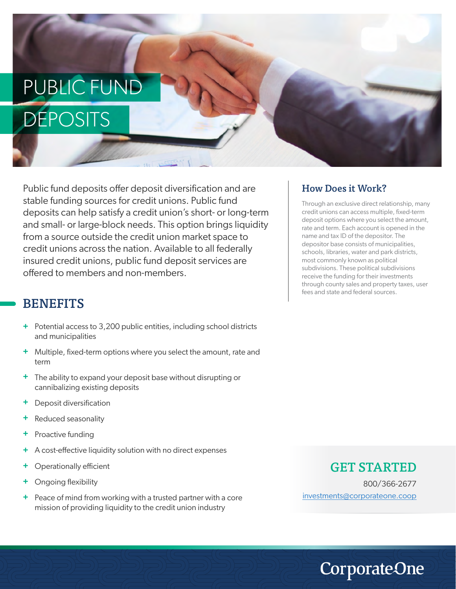# PUBLIC FUND **DEPOSITS**

Public fund deposits offer deposit diversification and are stable funding sources for credit unions. Public fund deposits can help satisfy a credit union's short- or long-term and small- or large-block needs. This option brings liquidity from a source outside the credit union market space to credit unions across the nation. Available to all federally insured credit unions, public fund deposit services are offered to members and non-members.

### **BENEFITS**

- Potential access to 3,200 public entities, including school districts **+** and municipalities
- Multiple, fixed-term options where you select the amount, rate and **+** term
- <sup>+</sup> The ability to expand your deposit base without disrupting or cannibalizing existing deposits
- Deposit diversification **+**
- Reduced seasonality **+**
- Proactive funding **+**
- A cost-effective liquidity solution with no direct expenses **+**
- Operationally efficient **+**
- Ongoing flexibility **+**
- + Peace of mind from working with a trusted partner with a core mission of providing liquidity to the credit union industry

#### How Does it Work?

Through an exclusive direct relationship, many credit unions can access multiple, fixed-term deposit options where you select the amount, rate and term. Each account is opened in the name and tax ID of the depositor. The depositor base consists of municipalities, schools, libraries, water and park districts, most commonly known as political subdivisions. These political subdivisions receive the funding for their investments through county sales and property taxes, user fees and state and federal sources.

#### GET STARTED

800/366-2677 investments@corporateone.coop

**CorporateOne**